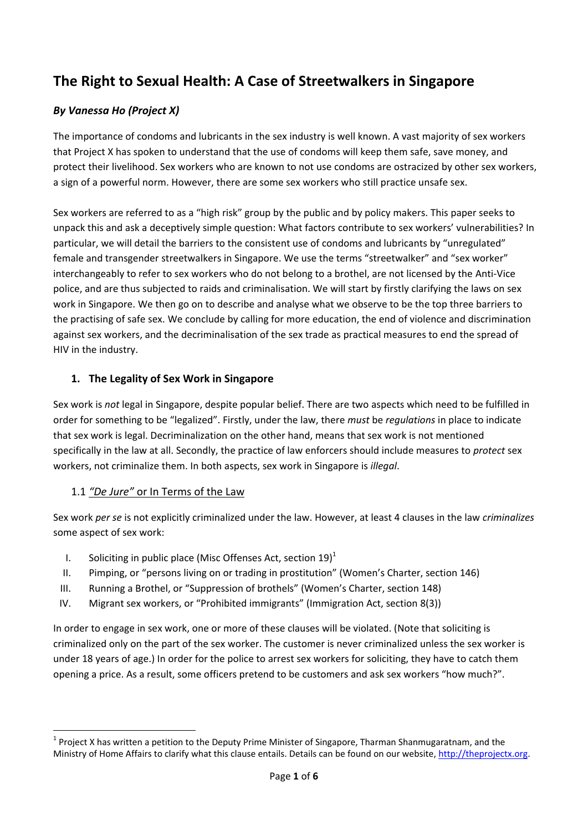# **The Right to Sexual Health: A Case of Streetwalkers in Singapore**

### *By Vanessa Ho (Project X)*

The importance of condoms and lubricants in the sex industry is well known. A vast majority of sex workers that Project X has spoken to understand that the use of condoms will keep them safe, save money, and protect their livelihood. Sex workers who are known to not use condoms are ostracized by other sex workers, a sign of a powerful norm. However, there are some sex workers who still practice unsafe sex.

Sex workers are referred to as a "high risk" group by the public and by policy makers. This paper seeks to unpack this and ask a deceptively simple question: What factors contribute to sex workers' vulnerabilities? In particular, we will detail the barriers to the consistent use of condoms and lubricants by "unregulated" female and transgender streetwalkers in Singapore. We use the terms "streetwalker" and "sex worker" interchangeably to refer to sex workers who do not belong to a brothel, are not licensed by the Anti-Vice police, and are thus subjected to raids and criminalisation. We will start by firstly clarifying the laws on sex work in Singapore. We then go on to describe and analyse what we observe to be the top three barriers to the practising of safe sex. We conclude by calling for more education, the end of violence and discrimination against sex workers, and the decriminalisation of the sex trade as practical measures to end the spread of HIV in the industry.

#### **1. The Legality of Sex Work in Singapore**

Sex work is *not* legal in Singapore, despite popular belief. There are two aspects which need to be fulfilled in order for something to be "legalized". Firstly, under the law, there *must* be *regulations* in place to indicate that sex work is legal. Decriminalization on the other hand, means that sex work is not mentioned specifically in the law at all. Secondly, the practice of law enforcers should include measures to *protect* sex workers, not criminalize them. In both aspects, sex work in Singapore is *illegal*.

#### 1.1 *"De Jure"* or In Terms of the Law

Sex work *per se* is not explicitly criminalized under the law. However, at least 4 clauses in the law *criminalizes*  some aspect of sex work:

- I. Soliciting in public place (Misc Offenses Act, section  $19$ )<sup>1</sup>
- II. Pimping, or "persons living on or trading in prostitution" (Women's Charter, section 146)
- III. Running a Brothel, or "Suppression of brothels" (Women's Charter, section 148)
- IV. Migrant sex workers, or "Prohibited immigrants" (Immigration Act, section 8(3))

In order to engage in sex work, one or more of these clauses will be violated. (Note that soliciting is criminalized only on the part of the sex worker. The customer is never criminalized unless the sex worker is under 18 years of age.) In order for the police to arrest sex workers for soliciting, they have to catch them opening a price. As a result, some officers pretend to be customers and ask sex workers "how much?".

 $\overline{a}$ <sup>1</sup> Project X has written a petition to the Deputy Prime Minister of Singapore, Tharman Shanmugaratnam, and the Ministry of Home Affairs to clarify what this clause entails. Details can be found on our website, [http://theprojectx.org.](http://theprojectx.org/)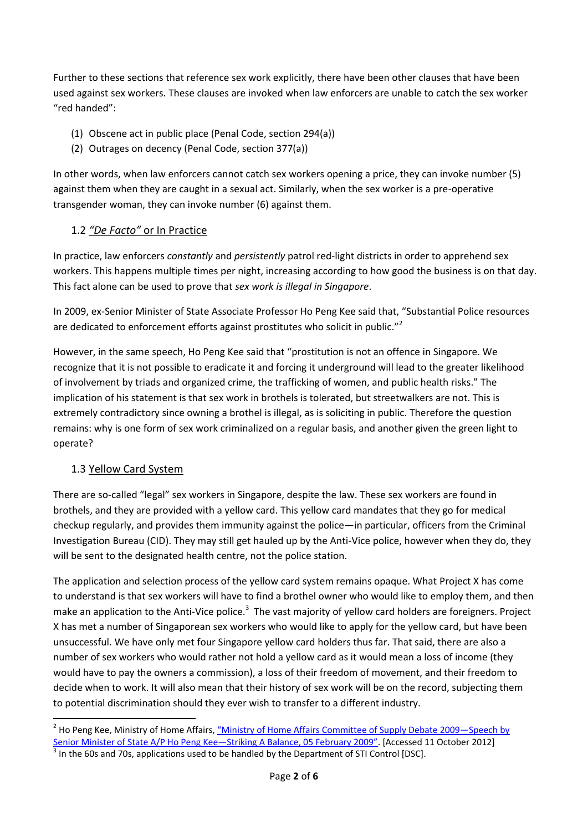Further to these sections that reference sex work explicitly, there have been other clauses that have been used against sex workers. These clauses are invoked when law enforcers are unable to catch the sex worker "red handed":

- (1) Obscene act in public place (Penal Code, section 294(a))
- (2) Outrages on decency (Penal Code, section 377(a))

In other words, when law enforcers cannot catch sex workers opening a price, they can invoke number (5) against them when they are caught in a sexual act. Similarly, when the sex worker is a pre-operative transgender woman, they can invoke number (6) against them.

### 1.2 *"De Facto"* or In Practice

In practice, law enforcers *constantly* and *persistently* patrol red-light districts in order to apprehend sex workers. This happens multiple times per night, increasing according to how good the business is on that day. This fact alone can be used to prove that *sex work is illegal in Singapore*.

In 2009, ex-Senior Minister of State Associate Professor Ho Peng Kee said that, "Substantial Police resources are dedicated to enforcement efforts against prostitutes who solicit in public."<sup>2</sup>

However, in the same speech, Ho Peng Kee said that "prostitution is not an offence in Singapore. We recognize that it is not possible to eradicate it and forcing it underground will lead to the greater likelihood of involvement by triads and organized crime, the trafficking of women, and public health risks." The implication of his statement is that sex work in brothels is tolerated, but streetwalkers are not. This is extremely contradictory since owning a brothel is illegal, as is soliciting in public. Therefore the question remains: why is one form of sex work criminalized on a regular basis, and another given the green light to operate?

#### 1.3 Yellow Card System

**.** 

There are so-called "legal" sex workers in Singapore, despite the law. These sex workers are found in brothels, and they are provided with a yellow card. This yellow card mandates that they go for medical checkup regularly, and provides them immunity against the police—in particular, officers from the Criminal Investigation Bureau (CID). They may still get hauled up by the Anti-Vice police, however when they do, they will be sent to the designated health centre, not the police station.

The application and selection process of the yellow card system remains opaque. What Project X has come to understand is that sex workers will have to find a brothel owner who would like to employ them, and then make an application to the Anti-Vice police.<sup>3</sup> The vast majority of yellow card holders are foreigners. Project X has met a number of Singaporean sex workers who would like to apply for the yellow card, but have been unsuccessful. We have only met four Singapore yellow card holders thus far. That said, there are also a number of sex workers who would rather not hold a yellow card as it would mean a loss of income (they would have to pay the owners a commission), a loss of their freedom of movement, and their freedom to decide when to work. It will also mean that their history of sex work will be on the record, subjecting them to potential discrimination should they ever wish to transfer to a different industry.

<sup>&</sup>lt;sup>2</sup> Ho Peng Kee, Ministry of Home Affairs, <u>["Ministry of Home Affairs Committee of Supply Debate 2009—](http://www.mha.gov.sg/news_details.aspx?nid=MTM2OQ%3D%3D-%2Fv%2FKQ2xLxwk%3D)Speech by</u> [Senior Minister of State A/P Ho Peng Kee](http://www.mha.gov.sg/news_details.aspx?nid=MTM2OQ%3D%3D-%2Fv%2FKQ2xLxwk%3D)-Striking A Balance, 05 February 2009". [Accessed 11 October 2012]

 $3$  In the 60s and 70s, applications used to be handled by the Department of STI Control [DSC].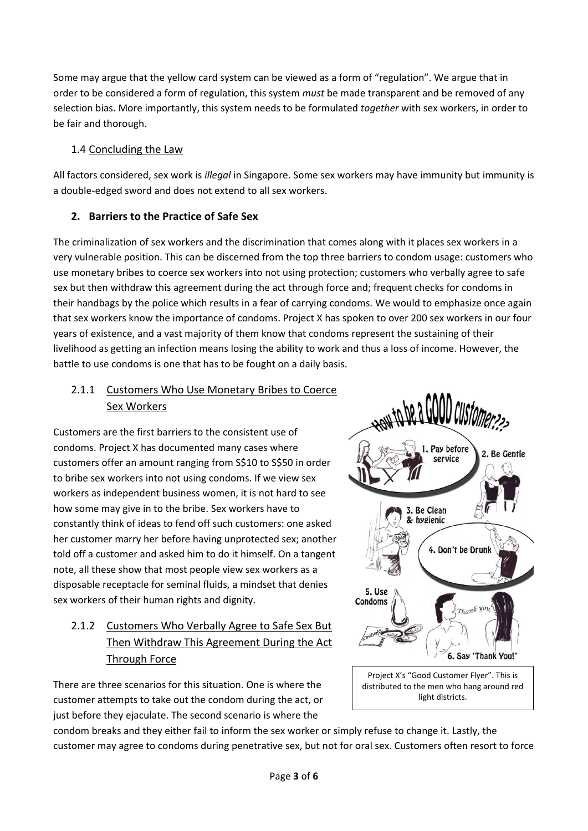Some may argue that the yellow card system can be viewed as a form of "regulation". We argue that in order to be considered a form of regulation, this system *must* be made transparent and be removed of any selection bias. More importantly, this system needs to be formulated *together* with sex workers, in order to be fair and thorough.

### 1.4 Concluding the Law

All factors considered, sex work is *illegal* in Singapore. Some sex workers may have immunity but immunity is a double-edged sword and does not extend to all sex workers.

### **2. Barriers to the Practice of Safe Sex**

The criminalization of sex workers and the discrimination that comes along with it places sex workers in a very vulnerable position. This can be discerned from the top three barriers to condom usage: customers who use monetary bribes to coerce sex workers into not using protection; customers who verbally agree to safe sex but then withdraw this agreement during the act through force and; frequent checks for condoms in their handbags by the police which results in a fear of carrying condoms. We would to emphasize once again that sex workers know the importance of condoms. Project X has spoken to over 200 sex workers in our four years of existence, and a vast majority of them know that condoms represent the sustaining of their livelihood as getting an infection means losing the ability to work and thus a loss of income. However, the battle to use condoms is one that has to be fought on a daily basis.

### 2.1.1 Customers Who Use Monetary Bribes to Coerce Sex Workers

Customers are the first barriers to the consistent use of condoms. Project X has documented many cases where customers offer an amount ranging from S\$10 to S\$50 in order to bribe sex workers into not using condoms. If we view sex workers as independent business women, it is not hard to see how some may give in to the bribe. Sex workers have to constantly think of ideas to fend off such customers: one asked her customer marry her before having unprotected sex; another told off a customer and asked him to do it himself. On a tangent note, all these show that most people view sex workers as a disposable receptacle for seminal fluids, a mindset that denies sex workers of their human rights and dignity.

## 2.1.2 Customers Who Verbally Agree to Safe Sex But Then Withdraw This Agreement During the Act Through Force

There are three scenarios for this situation. One is where the customer attempts to take out the condom during the act, or just before they ejaculate. The second scenario is where the

ANY TO DE à VUUU CUSTOMER22 1. Pay before 2. Be Gentle service 3. Be Clean & hygienic 4. Don't be Drunl 5. Use Condoms 6. Say 'Thank You!' Project X's "Good Customer Flyer". This is distributed to the men who hang around red

light districts.

condom breaks and they either fail to inform the sex worker or simply refuse to change it. Lastly, the customer may agree to condoms during penetrative sex, but not for oral sex. Customers often resort to force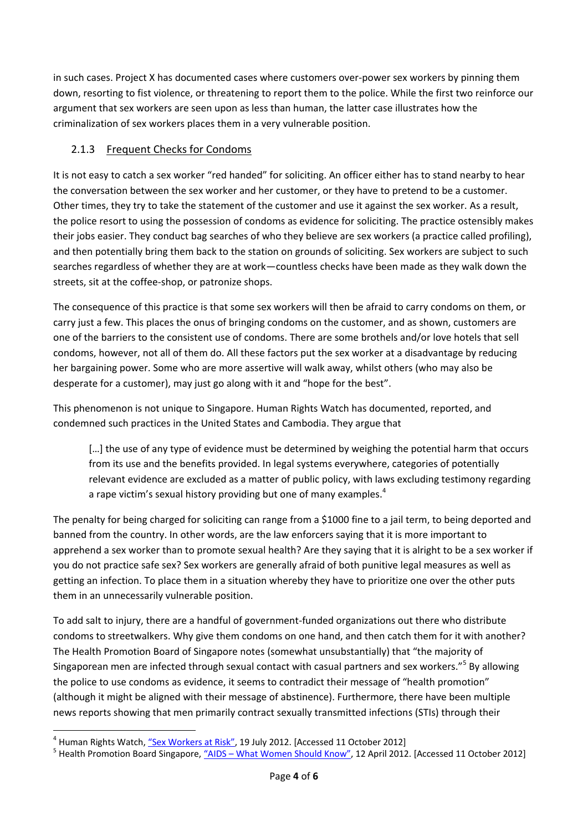in such cases. Project X has documented cases where customers over-power sex workers by pinning them down, resorting to fist violence, or threatening to report them to the police. While the first two reinforce our argument that sex workers are seen upon as less than human, the latter case illustrates how the criminalization of sex workers places them in a very vulnerable position.

#### 2.1.3 Frequent Checks for Condoms

It is not easy to catch a sex worker "red handed" for soliciting. An officer either has to stand nearby to hear the conversation between the sex worker and her customer, or they have to pretend to be a customer. Other times, they try to take the statement of the customer and use it against the sex worker. As a result, the police resort to using the possession of condoms as evidence for soliciting. The practice ostensibly makes their jobs easier. They conduct bag searches of who they believe are sex workers (a practice called profiling), and then potentially bring them back to the station on grounds of soliciting. Sex workers are subject to such searches regardless of whether they are at work—countless checks have been made as they walk down the streets, sit at the coffee-shop, or patronize shops.

The consequence of this practice is that some sex workers will then be afraid to carry condoms on them, or carry just a few. This places the onus of bringing condoms on the customer, and as shown, customers are one of the barriers to the consistent use of condoms. There are some brothels and/or love hotels that sell condoms, however, not all of them do. All these factors put the sex worker at a disadvantage by reducing her bargaining power. Some who are more assertive will walk away, whilst others (who may also be desperate for a customer), may just go along with it and "hope for the best".

This phenomenon is not unique to Singapore. Human Rights Watch has documented, reported, and condemned such practices in the United States and Cambodia. They argue that

[...] the use of any type of evidence must be determined by weighing the potential harm that occurs from its use and the benefits provided. In legal systems everywhere, categories of potentially relevant evidence are excluded as a matter of public policy, with laws excluding testimony regarding a rape victim's sexual history providing but one of many examples.<sup>4</sup>

The penalty for being charged for soliciting can range from a \$1000 fine to a jail term, to being deported and banned from the country. In other words, are the law enforcers saying that it is more important to apprehend a sex worker than to promote sexual health? Are they saying that it is alright to be a sex worker if you do not practice safe sex? Sex workers are generally afraid of both punitive legal measures as well as getting an infection. To place them in a situation whereby they have to prioritize one over the other puts them in an unnecessarily vulnerable position.

To add salt to injury, there are a handful of government-funded organizations out there who distribute condoms to streetwalkers. Why give them condoms on one hand, and then catch them for it with another? The Health Promotion Board of Singapore notes (somewhat unsubstantially) that "the majority of Singaporean men are infected through sexual contact with casual partners and sex workers."<sup>5</sup> By allowing the police to use condoms as evidence, it seems to contradict their message of "health promotion" (although it might be aligned with their message of abstinence). Furthermore, there have been multiple news reports showing that men primarily contract sexually transmitted infections (STIs) through their

 $\overline{a}$ <sup>4</sup> Human Rights Watch, <u>["Sex Workers at Risk"](http://www.hrw.org/node/108771/section/2)</u>, 19 July 2012. [Accessed 11 October 2012]

<sup>&</sup>lt;sup>5</sup> Health Promotion Board Singapore, <u>"AIDS – [What Women Should Know"](http://www.hpb.gov.sg/HOPPortal/health-article/2254)</u>, 12 April 2012. [Accessed 11 October 2012]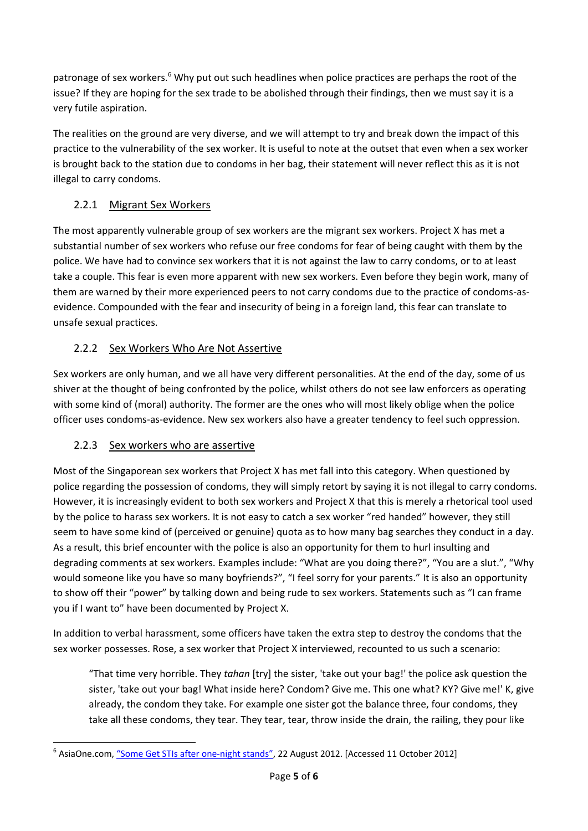patronage of sex workers.<sup>6</sup> Why put out such headlines when police practices are perhaps the root of the issue? If they are hoping for the sex trade to be abolished through their findings, then we must say it is a very futile aspiration.

The realities on the ground are very diverse, and we will attempt to try and break down the impact of this practice to the vulnerability of the sex worker. It is useful to note at the outset that even when a sex worker is brought back to the station due to condoms in her bag, their statement will never reflect this as it is not illegal to carry condoms.

### 2.2.1 Migrant Sex Workers

The most apparently vulnerable group of sex workers are the migrant sex workers. Project X has met a substantial number of sex workers who refuse our free condoms for fear of being caught with them by the police. We have had to convince sex workers that it is not against the law to carry condoms, or to at least take a couple. This fear is even more apparent with new sex workers. Even before they begin work, many of them are warned by their more experienced peers to not carry condoms due to the practice of condoms-asevidence. Compounded with the fear and insecurity of being in a foreign land, this fear can translate to unsafe sexual practices.

### 2.2.2 Sex Workers Who Are Not Assertive

Sex workers are only human, and we all have very different personalities. At the end of the day, some of us shiver at the thought of being confronted by the police, whilst others do not see law enforcers as operating with some kind of (moral) authority. The former are the ones who will most likely oblige when the police officer uses condoms-as-evidence. New sex workers also have a greater tendency to feel such oppression.

### 2.2.3 Sex workers who are assertive

Most of the Singaporean sex workers that Project X has met fall into this category. When questioned by police regarding the possession of condoms, they will simply retort by saying it is not illegal to carry condoms. However, it is increasingly evident to both sex workers and Project X that this is merely a rhetorical tool used by the police to harass sex workers. It is not easy to catch a sex worker "red handed" however, they still seem to have some kind of (perceived or genuine) quota as to how many bag searches they conduct in a day. As a result, this brief encounter with the police is also an opportunity for them to hurl insulting and degrading comments at sex workers. Examples include: "What are you doing there?", "You are a slut.", "Why would someone like you have so many boyfriends?", "I feel sorry for your parents." It is also an opportunity to show off their "power" by talking down and being rude to sex workers. Statements such as "I can frame you if I want to" have been documented by Project X.

In addition to verbal harassment, some officers have taken the extra step to destroy the condoms that the sex worker possesses. Rose, a sex worker that Project X interviewed, recounted to us such a scenario:

"That time very horrible. They *tahan* [try] the sister, 'take out your bag!' the police ask question the sister, 'take out your bag! What inside here? Condom? Give me. This one what? KY? Give me!' K, give already, the condom they take. For example one sister got the balance three, four condoms, they take all these condoms, they tear. They tear, tear, throw inside the drain, the railing, they pour like

**<sup>.</sup>** <sup>6</sup> AsiaOne.com, <u>["Some Get STIs after one](http://www.asiaone.com/News/Latest%2BNews/Singapore/Story/A1Story20120820-366501.html)-night stands"</u>, 22 August 2012. [Accessed 11 October 2012]